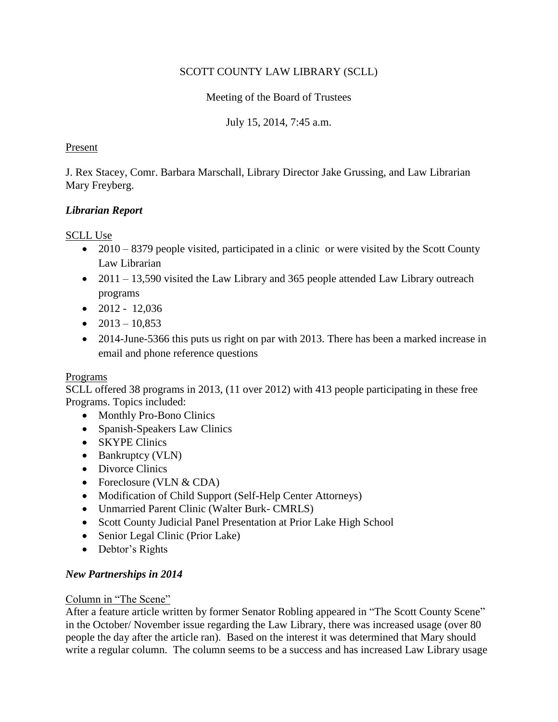# SCOTT COUNTY LAW LIBRARY (SCLL)

### Meeting of the Board of Trustees

July 15, 2014, 7:45 a.m.

### Present

J. Rex Stacey, Comr. Barbara Marschall, Library Director Jake Grussing, and Law Librarian Mary Freyberg.

# *Librarian Report*

# SCLL Use

- $\bullet$  2010 8379 people visited, participated in a clinic or were visited by the Scott County Law Librarian
- 2011 13,590 visited the Law Library and 365 people attended Law Library outreach programs
- $\bullet$  2012 12,036
- $2013 10,853$
- 2014-June-5366 this puts us right on par with 2013. There has been a marked increase in email and phone reference questions

# Programs

SCLL offered 38 programs in 2013, (11 over 2012) with 413 people participating in these free Programs. Topics included:

- Monthly Pro-Bono Clinics
- Spanish-Speakers Law Clinics
- SKYPE Clinics
- Bankruptcy (VLN)
- Divorce Clinics
- Foreclosure (VLN & CDA)
- Modification of Child Support (Self-Help Center Attorneys)
- Unmarried Parent Clinic (Walter Burk- CMRLS)
- Scott County Judicial Panel Presentation at Prior Lake High School
- Senior Legal Clinic (Prior Lake)
- Debtor's Rights

# *New Partnerships in 2014*

### Column in "The Scene"

After a feature article written by former Senator Robling appeared in "The Scott County Scene" in the October/ November issue regarding the Law Library, there was increased usage (over 80 people the day after the article ran). Based on the interest it was determined that Mary should write a regular column. The column seems to be a success and has increased Law Library usage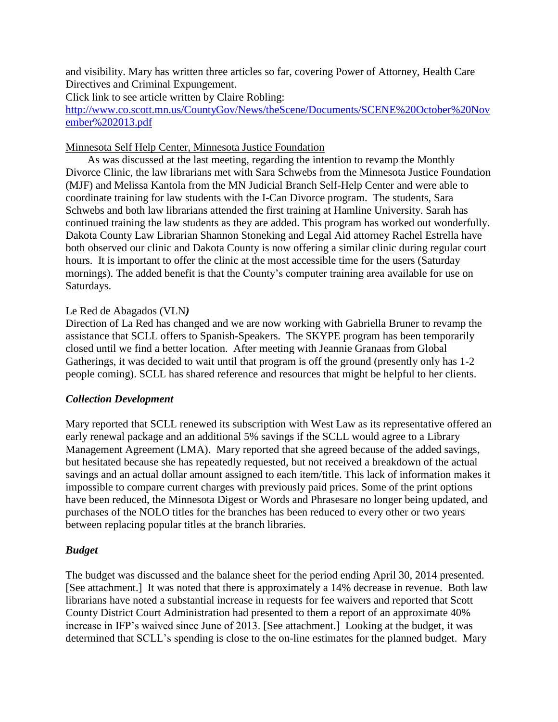and visibility. Mary has written three articles so far, covering Power of Attorney, Health Care Directives and Criminal Expungement.

Click link to see article written by Claire Robling:

[http://www.co.scott.mn.us/CountyGov/News/theScene/Documents/SCENE%20October%20Nov](http://www.co.scott.mn.us/CountyGov/News/theScene/Documents/SCENE%20October%20November%202013.pdf) [ember%202013.pdf](http://www.co.scott.mn.us/CountyGov/News/theScene/Documents/SCENE%20October%20November%202013.pdf)

#### Minnesota Self Help Center, Minnesota Justice Foundation

As was discussed at the last meeting, regarding the intention to revamp the Monthly Divorce Clinic, the law librarians met with Sara Schwebs from the Minnesota Justice Foundation (MJF) and Melissa Kantola from the MN Judicial Branch Self-Help Center and were able to coordinate training for law students with the I-Can Divorce program. The students, Sara Schwebs and both law librarians attended the first training at Hamline University. Sarah has continued training the law students as they are added. This program has worked out wonderfully. Dakota County Law Librarian Shannon Stoneking and Legal Aid attorney Rachel Estrella have both observed our clinic and Dakota County is now offering a similar clinic during regular court hours. It is important to offer the clinic at the most accessible time for the users (Saturday mornings). The added benefit is that the County's computer training area available for use on Saturdays.

#### Le Red de Abagados (VLN*)*

Direction of La Red has changed and we are now working with Gabriella Bruner to revamp the assistance that SCLL offers to Spanish-Speakers. The SKYPE program has been temporarily closed until we find a better location. After meeting with Jeannie Granaas from Global Gatherings, it was decided to wait until that program is off the ground (presently only has 1-2 people coming). SCLL has shared reference and resources that might be helpful to her clients.

#### *Collection Development*

Mary reported that SCLL renewed its subscription with West Law as its representative offered an early renewal package and an additional 5% savings if the SCLL would agree to a Library Management Agreement (LMA). Mary reported that she agreed because of the added savings, but hesitated because she has repeatedly requested, but not received a breakdown of the actual savings and an actual dollar amount assigned to each item/title. This lack of information makes it impossible to compare current charges with previously paid prices. Some of the print options have been reduced, the Minnesota Digest or Words and Phrasesare no longer being updated, and purchases of the NOLO titles for the branches has been reduced to every other or two years between replacing popular titles at the branch libraries.

### *Budget*

The budget was discussed and the balance sheet for the period ending April 30, 2014 presented. [See attachment.] It was noted that there is approximately a 14% decrease in revenue. Both law librarians have noted a substantial increase in requests for fee waivers and reported that Scott County District Court Administration had presented to them a report of an approximate 40% increase in IFP's waived since June of 2013. [See attachment.] Looking at the budget, it was determined that SCLL's spending is close to the on-line estimates for the planned budget. Mary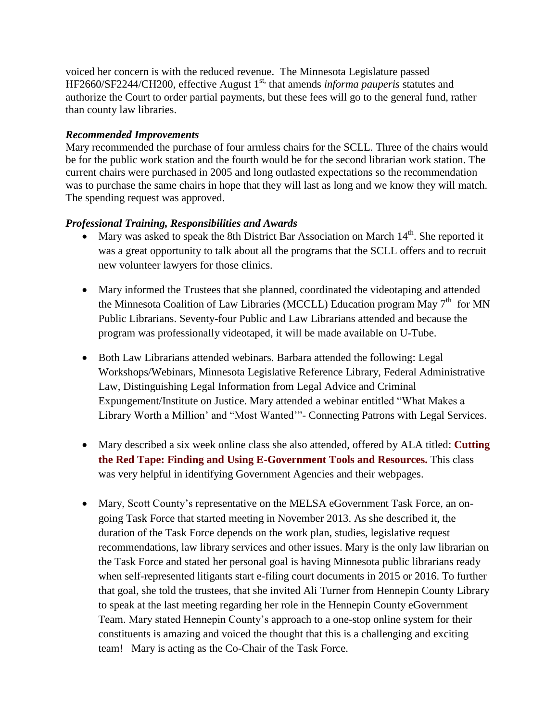voiced her concern is with the reduced revenue. The Minnesota Legislature passed HF2660/SF2244/CH200, effective August 1<sup>st,</sup> that amends *informa pauperis* statutes and authorize the Court to order partial payments, but these fees will go to the general fund, rather than county law libraries.

### *Recommended Improvements*

Mary recommended the purchase of four armless chairs for the SCLL. Three of the chairs would be for the public work station and the fourth would be for the second librarian work station. The current chairs were purchased in 2005 and long outlasted expectations so the recommendation was to purchase the same chairs in hope that they will last as long and we know they will match. The spending request was approved.

# *Professional Training, Responsibilities and Awards*

- Mary was asked to speak the 8th District Bar Association on March 14<sup>th</sup>. She reported it was a great opportunity to talk about all the programs that the SCLL offers and to recruit new volunteer lawyers for those clinics.
- Mary informed the Trustees that she planned, coordinated the videotaping and attended the Minnesota Coalition of Law Libraries (MCCLL) Education program May 7<sup>th</sup> for MN Public Librarians. Seventy-four Public and Law Librarians attended and because the program was professionally videotaped, it will be made available on U-Tube.
- Both Law Librarians attended webinars. Barbara attended the following: Legal Workshops/Webinars, Minnesota Legislative Reference Library, Federal Administrative Law, Distinguishing Legal Information from Legal Advice and Criminal Expungement/Institute on Justice. Mary attended a webinar entitled "What Makes a Library Worth a Million' and "Most Wanted'"- Connecting Patrons with Legal Services.
- Mary described a six week online class she also attended, offered by ALA titled: **Cutting the Red Tape: Finding and Using E-Government Tools and Resources.** This class was very helpful in identifying Government Agencies and their webpages.
- Mary, Scott County's representative on the MELSA eGovernment Task Force, an ongoing Task Force that started meeting in November 2013. As she described it, the duration of the Task Force depends on the work plan, studies, legislative request recommendations, law library services and other issues. Mary is the only law librarian on the Task Force and stated her personal goal is having Minnesota public librarians ready when self-represented litigants start e-filing court documents in 2015 or 2016. To further that goal, she told the trustees, that she invited Ali Turner from Hennepin County Library to speak at the last meeting regarding her role in the Hennepin County eGovernment Team. Mary stated Hennepin County's approach to a one-stop online system for their constituents is amazing and voiced the thought that this is a challenging and exciting team! Mary is acting as the Co-Chair of the Task Force.